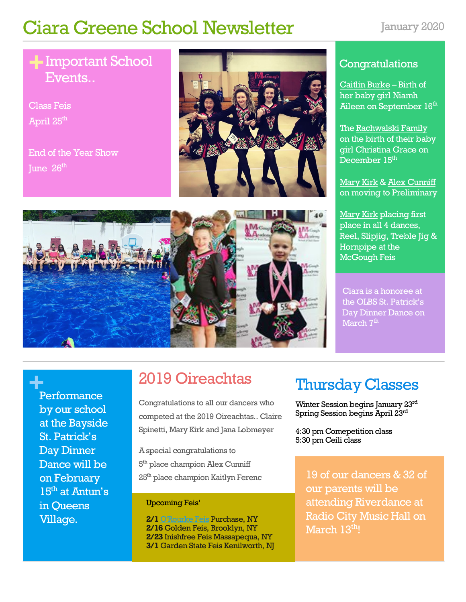# Ciara Greene School Newsletter January 2020

### **+** Important School Events..

Class Feis April 25<sup>th</sup>

End of the Year Show June  $26<sup>th</sup>$ 

**+** Performance

in Queens Village.

by our school at the Bayside St. Patrick's Day Dinner Dance will be on February 15<sup>th</sup> at Antun's



### **Congratulations**

Caitlin Burke – Birth of her baby girl Niamh Aileen on September 16<sup>th</sup>

The Rachwalski Family on the birth of their baby girl Christina Grace on December 15 $^{\rm th}$  .

Mary Kirk & Alex Cunniff on moving to Preliminary

Mary Kirk placing first place in all 4 dances, Reel, Slipjig, Treble Jig & Hornpipe at the McGough Feis

Ciara is a honoree at the OLBS St. Patrick's Day Dinner Dance on March 7<sup>th</sup>



# 2019 Oireachtas

Congratulations to all our dancers who competed at the 2019 Oireachtas.. Claire Spinetti, Mary Kirk and Jana Lobmeyer

A special congratulations to 5<sup>th</sup> place champion Alex Cunniff 25th place champion Kaitlyn Ferenc

### Upcoming Feis'

**2/1** O'Rourke Feis Purchase, NY **2/16** Golden Feis, Brooklyn, NY **2/23** Inishfree Feis Massapequa, NY **3/1** Garden State Feis Kenilworth, NJ

# Thursday Classes

Winter Session begins January 23rd Spring Session begins April 23rd

4:30 pm Comepetition class 5:30 pm Ceili class

19 of our dancers & 32 of our parents will be attending Riverdance at Radio City Music Hall on March 13th!